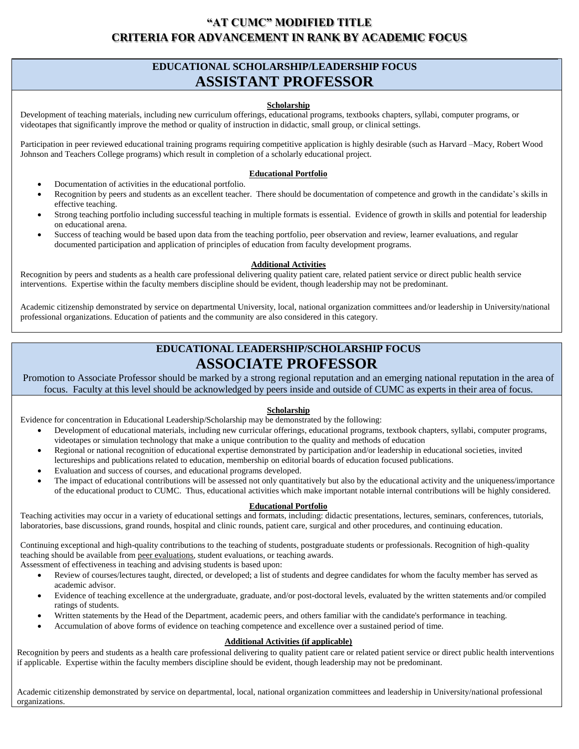# **"AT CUMC" MODIFIED TITLE CRITERIA FOR ADVANCEMENT IN RANK BY ACADEMIC FOCUS**

# **EDUCATIONAL SCHOLARSHIP/LEADERSHIP FOCUS ASSISTANT PROFESSOR**

## **Scholarship**

Development of teaching materials, including new curriculum offerings, educational programs, textbooks chapters, syllabi, computer programs, or videotapes that significantly improve the method or quality of instruction in didactic, small group, or clinical settings.

Participation in peer reviewed educational training programs requiring competitive application is highly desirable (such as Harvard –Macy, Robert Wood Johnson and Teachers College programs) which result in completion of a scholarly educational project.

### **Educational Portfolio**

- Documentation of activities in the educational portfolio.
- Recognition by peers and students as an excellent teacher. There should be documentation of competence and growth in the candidate's skills in effective teaching.
- Strong teaching portfolio including successful teaching in multiple formats is essential. Evidence of growth in skills and potential for leadership on educational arena.
- Success of teaching would be based upon data from the teaching portfolio, peer observation and review, learner evaluations, and regular documented participation and application of principles of education from faculty development programs.

## **Additional Activities**

Recognition by peers and students as a health care professional delivering quality patient care, related patient service or direct public health service interventions. Expertise within the faculty members discipline should be evident, though leadership may not be predominant.

Academic citizenship demonstrated by service on departmental University, local, national organization committees and/or leadership in University/national professional organizations. Education of patients and the community are also considered in this category.

# **EDUCATIONAL LEADERSHIP/SCHOLARSHIP FOCUS ASSOCIATE PROFESSOR**

Promotion to Associate Professor should be marked by a strong regional reputation and an emerging national reputation in the area of focus. Faculty at this level should be acknowledged by peers inside and outside of CUMC as experts in their area of focus.

## **Scholarship**

Evidence for concentration in Educational Leadership/Scholarship may be demonstrated by the following:

- Development of educational materials, including new curricular offerings, educational programs, textbook chapters, syllabi, computer programs, videotapes or simulation technology that make a unique contribution to the quality and methods of education
- Regional or national recognition of educational expertise demonstrated by participation and/or leadership in educational societies, invited lectureships and publications related to education, membership on editorial boards of education focused publications.
- Evaluation and success of courses, and educational programs developed.
- The impact of educational contributions will be assessed not only quantitatively but also by the educational activity and the uniqueness/importance of the educational product to CUMC. Thus, educational activities which make important notable internal contributions will be highly considered.

#### **Educational Portfolio**

Teaching activities may occur in a variety of educational settings and formats, including: didactic presentations, lectures, seminars, conferences, tutorials, laboratories, base discussions, grand rounds, hospital and clinic rounds, patient care, surgical and other procedures, and continuing education.

Continuing exceptional and high-quality contributions to the teaching of students, postgraduate students or professionals. Recognition of high-quality teaching should be available from peer evaluations, student evaluations, or teaching awards.

Assessment of effectiveness in teaching and advising students is based upon:

- Review of courses/lectures taught, directed, or developed; a list of students and degree candidates for whom the faculty member has served as academic advisor.
- Evidence of teaching excellence at the undergraduate, graduate, and/or post-doctoral levels, evaluated by the written statements and/or compiled ratings of students.
- Written statements by the Head of the Department, academic peers, and others familiar with the candidate's performance in teaching.
- Accumulation of above forms of evidence on teaching competence and excellence over a sustained period of time.

## **Additional Activities (if applicable)**

Recognition by peers and students as a health care professional delivering to quality patient care or related patient service or direct public health interventions if applicable. Expertise within the faculty members discipline should be evident, though leadership may not be predominant.

Academic citizenship demonstrated by service on departmental, local, national organization committees and leadership in University/national professional organizations.